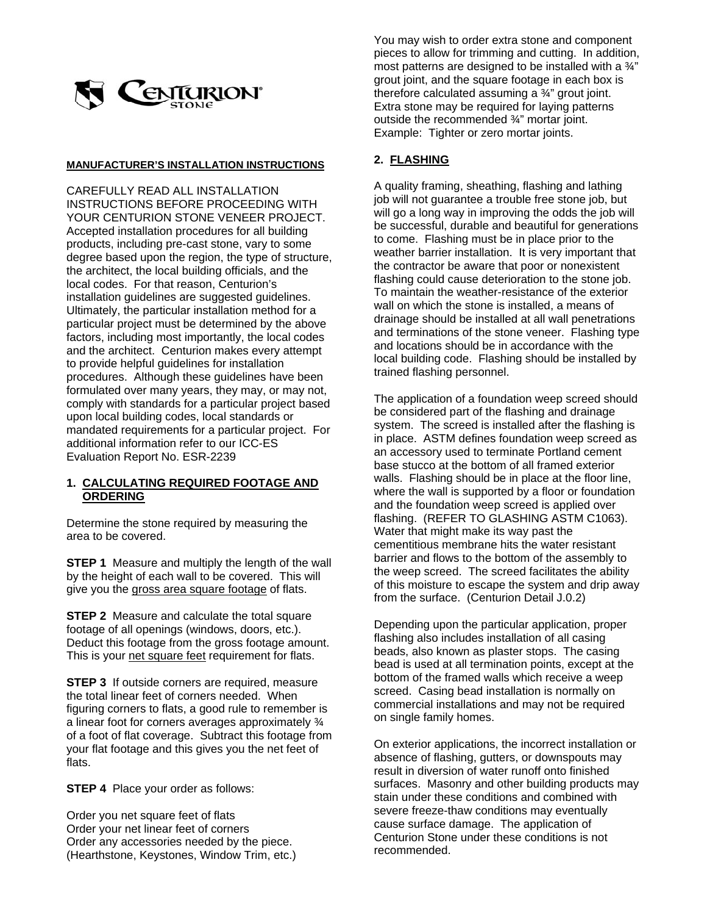

#### **MANUFACTURER'S INSTALLATION INSTRUCTIONS**

CAREFULLY READ ALL INSTALLATION INSTRUCTIONS BEFORE PROCEEDING WITH YOUR CENTURION STONE VENEER PROJECT. Accepted installation procedures for all building products, including pre-cast stone, vary to some degree based upon the region, the type of structure, the architect, the local building officials, and the local codes. For that reason, Centurion's installation guidelines are suggested guidelines. Ultimately, the particular installation method for a particular project must be determined by the above factors, including most importantly, the local codes and the architect. Centurion makes every attempt to provide helpful guidelines for installation procedures. Although these guidelines have been formulated over many years, they may, or may not, comply with standards for a particular project based upon local building codes, local standards or mandated requirements for a particular project. For additional information refer to our ICC-ES Evaluation Report No. ESR-2239

### **1. CALCULATING REQUIRED FOOTAGE AND ORDERING**

Determine the stone required by measuring the area to be covered.

**STEP 1** Measure and multiply the length of the wall by the height of each wall to be covered. This will give you the gross area square footage of flats.

**STEP 2** Measure and calculate the total square footage of all openings (windows, doors, etc.). Deduct this footage from the gross footage amount. This is your net square feet requirement for flats.

**STEP 3** If outside corners are required, measure the total linear feet of corners needed. When figuring corners to flats, a good rule to remember is a linear foot for corners averages approximately ¾ of a foot of flat coverage. Subtract this footage from your flat footage and this gives you the net feet of flats.

**STEP 4** Place your order as follows:

Order you net square feet of flats Order your net linear feet of corners Order any accessories needed by the piece. (Hearthstone, Keystones, Window Trim, etc.)

You may wish to order extra stone and component pieces to allow for trimming and cutting. In addition, most patterns are designed to be installed with a ¾" grout joint, and the square footage in each box is therefore calculated assuming a  $\frac{3}{4}$ " grout joint. Extra stone may be required for laying patterns outside the recommended ¾" mortar joint. Example: Tighter or zero mortar joints.

### **2. FLASHING**

A quality framing, sheathing, flashing and lathing job will not guarantee a trouble free stone job, but will go a long way in improving the odds the job will be successful, durable and beautiful for generations to come. Flashing must be in place prior to the weather barrier installation. It is very important that the contractor be aware that poor or nonexistent flashing could cause deterioration to the stone job. To maintain the weather-resistance of the exterior wall on which the stone is installed, a means of drainage should be installed at all wall penetrations and terminations of the stone veneer. Flashing type and locations should be in accordance with the local building code. Flashing should be installed by trained flashing personnel.

The application of a foundation weep screed should be considered part of the flashing and drainage system. The screed is installed after the flashing is in place. ASTM defines foundation weep screed as an accessory used to terminate Portland cement base stucco at the bottom of all framed exterior walls. Flashing should be in place at the floor line, where the wall is supported by a floor or foundation and the foundation weep screed is applied over flashing. (REFER TO GLASHING ASTM C1063). Water that might make its way past the cementitious membrane hits the water resistant barrier and flows to the bottom of the assembly to the weep screed. The screed facilitates the ability of this moisture to escape the system and drip away from the surface. (Centurion Detail J.0.2)

Depending upon the particular application, proper flashing also includes installation of all casing beads, also known as plaster stops. The casing bead is used at all termination points, except at the bottom of the framed walls which receive a weep screed. Casing bead installation is normally on commercial installations and may not be required on single family homes.

On exterior applications, the incorrect installation or absence of flashing, gutters, or downspouts may result in diversion of water runoff onto finished surfaces. Masonry and other building products may stain under these conditions and combined with severe freeze-thaw conditions may eventually cause surface damage. The application of Centurion Stone under these conditions is not recommended.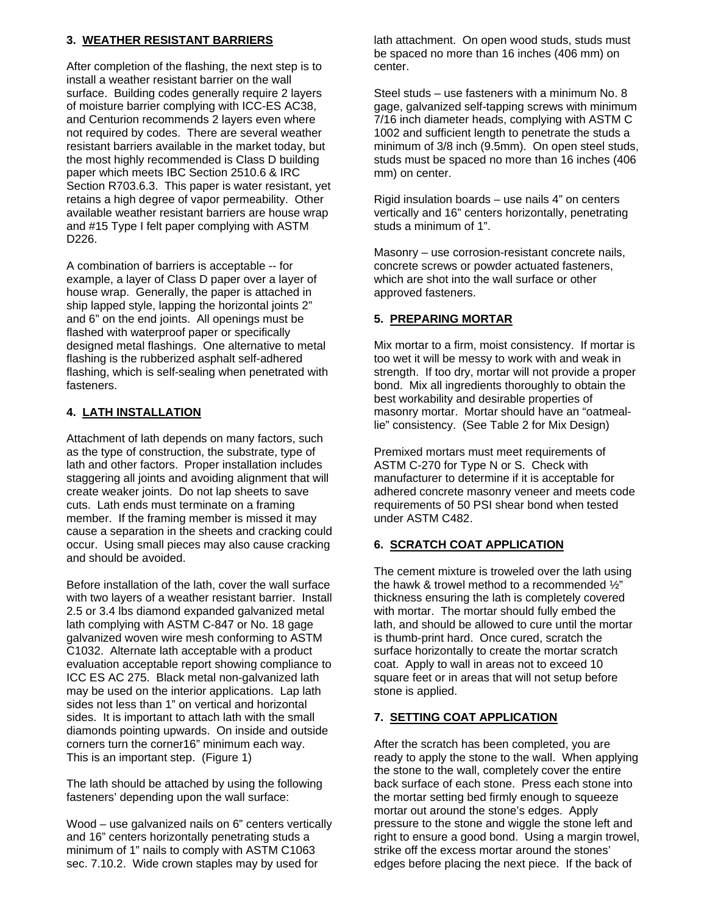## **3. WEATHER RESISTANT BARRIERS**

After completion of the flashing, the next step is to install a weather resistant barrier on the wall surface. Building codes generally require 2 layers of moisture barrier complying with ICC-ES AC38, and Centurion recommends 2 layers even where not required by codes. There are several weather resistant barriers available in the market today, but the most highly recommended is Class D building paper which meets IBC Section 2510.6 & IRC Section R703.6.3. This paper is water resistant, yet retains a high degree of vapor permeability. Other available weather resistant barriers are house wrap and #15 Type I felt paper complying with ASTM D226.

A combination of barriers is acceptable -- for example, a layer of Class D paper over a layer of house wrap. Generally, the paper is attached in ship lapped style, lapping the horizontal joints 2" and 6" on the end joints. All openings must be flashed with waterproof paper or specifically designed metal flashings. One alternative to metal flashing is the rubberized asphalt self-adhered flashing, which is self-sealing when penetrated with fasteners.

# **4. LATH INSTALLATION**

Attachment of lath depends on many factors, such as the type of construction, the substrate, type of lath and other factors. Proper installation includes staggering all joints and avoiding alignment that will create weaker joints. Do not lap sheets to save cuts. Lath ends must terminate on a framing member. If the framing member is missed it may cause a separation in the sheets and cracking could occur. Using small pieces may also cause cracking and should be avoided.

Before installation of the lath, cover the wall surface with two layers of a weather resistant barrier. Install 2.5 or 3.4 lbs diamond expanded galvanized metal lath complying with ASTM C-847 or No. 18 gage galvanized woven wire mesh conforming to ASTM C1032. Alternate lath acceptable with a product evaluation acceptable report showing compliance to ICC ES AC 275. Black metal non-galvanized lath may be used on the interior applications. Lap lath sides not less than 1" on vertical and horizontal sides. It is important to attach lath with the small diamonds pointing upwards. On inside and outside corners turn the corner16" minimum each way. This is an important step. (Figure 1)

The lath should be attached by using the following fasteners' depending upon the wall surface:

Wood – use galvanized nails on 6" centers vertically and 16" centers horizontally penetrating studs a minimum of 1" nails to comply with ASTM C1063 sec. 7.10.2. Wide crown staples may by used for

lath attachment. On open wood studs, studs must be spaced no more than 16 inches (406 mm) on center.

Steel studs – use fasteners with a minimum No. 8 gage, galvanized self-tapping screws with minimum 7/16 inch diameter heads, complying with ASTM C 1002 and sufficient length to penetrate the studs a minimum of 3/8 inch (9.5mm). On open steel studs, studs must be spaced no more than 16 inches (406 mm) on center.

Rigid insulation boards – use nails 4" on centers vertically and 16" centers horizontally, penetrating studs a minimum of 1".

Masonry – use corrosion-resistant concrete nails, concrete screws or powder actuated fasteners, which are shot into the wall surface or other approved fasteners.

## **5. PREPARING MORTAR**

Mix mortar to a firm, moist consistency. If mortar is too wet it will be messy to work with and weak in strength. If too dry, mortar will not provide a proper bond. Mix all ingredients thoroughly to obtain the best workability and desirable properties of masonry mortar. Mortar should have an "oatmeallie" consistency. (See Table 2 for Mix Design)

Premixed mortars must meet requirements of ASTM C-270 for Type N or S. Check with manufacturer to determine if it is acceptable for adhered concrete masonry veneer and meets code requirements of 50 PSI shear bond when tested under ASTM C482.

# **6. SCRATCH COAT APPLICATION**

The cement mixture is troweled over the lath using the hawk & trowel method to a recommended  $\frac{1}{2}$ " thickness ensuring the lath is completely covered with mortar. The mortar should fully embed the lath, and should be allowed to cure until the mortar is thumb-print hard. Once cured, scratch the surface horizontally to create the mortar scratch coat. Apply to wall in areas not to exceed 10 square feet or in areas that will not setup before stone is applied.

# **7. SETTING COAT APPLICATION**

After the scratch has been completed, you are ready to apply the stone to the wall. When applying the stone to the wall, completely cover the entire back surface of each stone. Press each stone into the mortar setting bed firmly enough to squeeze mortar out around the stone's edges. Apply pressure to the stone and wiggle the stone left and right to ensure a good bond. Using a margin trowel, strike off the excess mortar around the stones' edges before placing the next piece. If the back of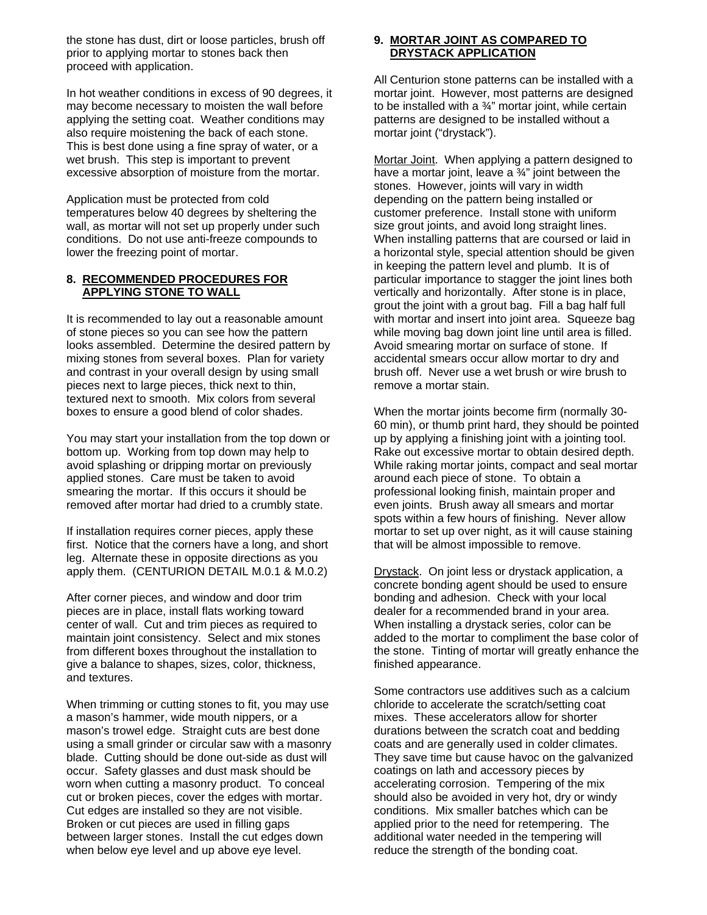the stone has dust, dirt or loose particles, brush off prior to applying mortar to stones back then proceed with application.

In hot weather conditions in excess of 90 degrees, it may become necessary to moisten the wall before applying the setting coat. Weather conditions may also require moistening the back of each stone. This is best done using a fine spray of water, or a wet brush. This step is important to prevent excessive absorption of moisture from the mortar.

Application must be protected from cold temperatures below 40 degrees by sheltering the wall, as mortar will not set up properly under such conditions. Do not use anti-freeze compounds to lower the freezing point of mortar.

#### **8. RECOMMENDED PROCEDURES FOR APPLYING STONE TO WALL**

It is recommended to lay out a reasonable amount of stone pieces so you can see how the pattern looks assembled. Determine the desired pattern by mixing stones from several boxes. Plan for variety and contrast in your overall design by using small pieces next to large pieces, thick next to thin, textured next to smooth. Mix colors from several boxes to ensure a good blend of color shades.

You may start your installation from the top down or bottom up. Working from top down may help to avoid splashing or dripping mortar on previously applied stones. Care must be taken to avoid smearing the mortar. If this occurs it should be removed after mortar had dried to a crumbly state.

If installation requires corner pieces, apply these first. Notice that the corners have a long, and short leg. Alternate these in opposite directions as you apply them. (CENTURION DETAIL M.0.1 & M.0.2)

After corner pieces, and window and door trim pieces are in place, install flats working toward center of wall. Cut and trim pieces as required to maintain joint consistency. Select and mix stones from different boxes throughout the installation to give a balance to shapes, sizes, color, thickness, and textures.

When trimming or cutting stones to fit, you may use a mason's hammer, wide mouth nippers, or a mason's trowel edge. Straight cuts are best done using a small grinder or circular saw with a masonry blade. Cutting should be done out-side as dust will occur. Safety glasses and dust mask should be worn when cutting a masonry product. To conceal cut or broken pieces, cover the edges with mortar. Cut edges are installed so they are not visible. Broken or cut pieces are used in filling gaps between larger stones. Install the cut edges down when below eye level and up above eye level.

#### **9. MORTAR JOINT AS COMPARED TO DRYSTACK APPLICATION**

All Centurion stone patterns can be installed with a mortar joint. However, most patterns are designed to be installed with a  $\frac{3}{4}$ " mortar joint, while certain patterns are designed to be installed without a mortar joint ("drystack").

Mortar Joint. When applying a pattern designed to have a mortar joint, leave a  $\frac{3}{4}$ " joint between the stones. However, joints will vary in width depending on the pattern being installed or customer preference. Install stone with uniform size grout joints, and avoid long straight lines. When installing patterns that are coursed or laid in a horizontal style, special attention should be given in keeping the pattern level and plumb. It is of particular importance to stagger the joint lines both vertically and horizontally. After stone is in place, grout the joint with a grout bag. Fill a bag half full with mortar and insert into joint area. Squeeze bag while moving bag down joint line until area is filled. Avoid smearing mortar on surface of stone. If accidental smears occur allow mortar to dry and brush off. Never use a wet brush or wire brush to remove a mortar stain.

When the mortar joints become firm (normally 30- 60 min), or thumb print hard, they should be pointed up by applying a finishing joint with a jointing tool. Rake out excessive mortar to obtain desired depth. While raking mortar joints, compact and seal mortar around each piece of stone. To obtain a professional looking finish, maintain proper and even joints. Brush away all smears and mortar spots within a few hours of finishing. Never allow mortar to set up over night, as it will cause staining that will be almost impossible to remove.

Drystack. On joint less or drystack application, a concrete bonding agent should be used to ensure bonding and adhesion. Check with your local dealer for a recommended brand in your area. When installing a drystack series, color can be added to the mortar to compliment the base color of the stone. Tinting of mortar will greatly enhance the finished appearance.

Some contractors use additives such as a calcium chloride to accelerate the scratch/setting coat mixes. These accelerators allow for shorter durations between the scratch coat and bedding coats and are generally used in colder climates. They save time but cause havoc on the galvanized coatings on lath and accessory pieces by accelerating corrosion. Tempering of the mix should also be avoided in very hot, dry or windy conditions. Mix smaller batches which can be applied prior to the need for retempering. The additional water needed in the tempering will reduce the strength of the bonding coat.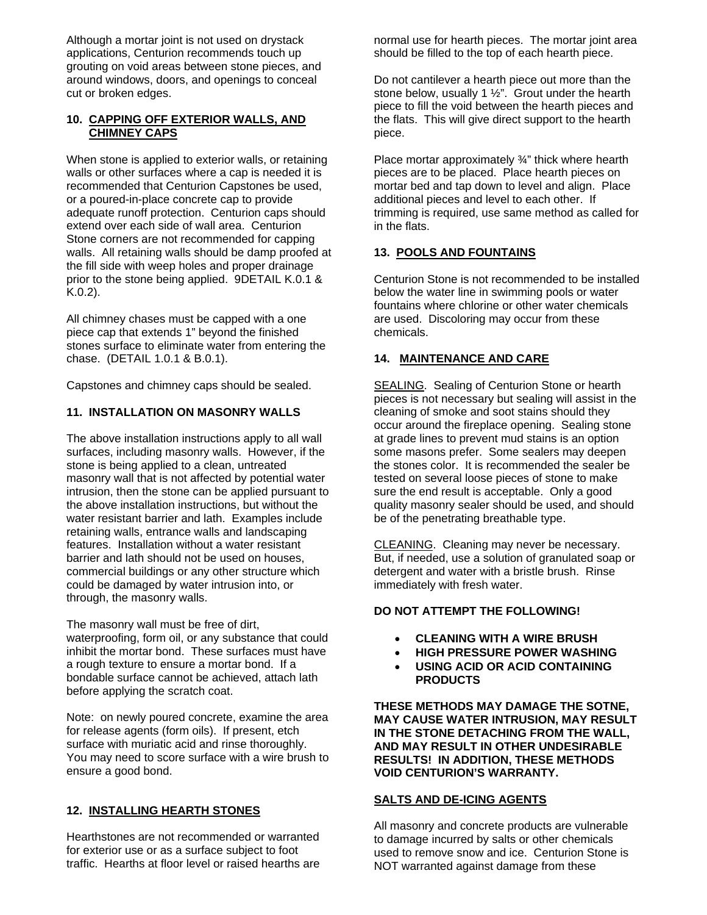Although a mortar joint is not used on drystack applications, Centurion recommends touch up grouting on void areas between stone pieces, and around windows, doors, and openings to conceal cut or broken edges.

### **10. CAPPING OFF EXTERIOR WALLS, AND CHIMNEY CAPS**

When stone is applied to exterior walls, or retaining walls or other surfaces where a cap is needed it is recommended that Centurion Capstones be used, or a poured-in-place concrete cap to provide adequate runoff protection. Centurion caps should extend over each side of wall area. Centurion Stone corners are not recommended for capping walls. All retaining walls should be damp proofed at the fill side with weep holes and proper drainage prior to the stone being applied. 9DETAIL K.0.1 & K.0.2).

All chimney chases must be capped with a one piece cap that extends 1" beyond the finished stones surface to eliminate water from entering the chase. (DETAIL 1.0.1 & B.0.1).

Capstones and chimney caps should be sealed.

## **11. INSTALLATION ON MASONRY WALLS**

The above installation instructions apply to all wall surfaces, including masonry walls. However, if the stone is being applied to a clean, untreated masonry wall that is not affected by potential water intrusion, then the stone can be applied pursuant to the above installation instructions, but without the water resistant barrier and lath. Examples include retaining walls, entrance walls and landscaping features. Installation without a water resistant barrier and lath should not be used on houses, commercial buildings or any other structure which could be damaged by water intrusion into, or through, the masonry walls.

The masonry wall must be free of dirt, waterproofing, form oil, or any substance that could inhibit the mortar bond. These surfaces must have a rough texture to ensure a mortar bond. If a bondable surface cannot be achieved, attach lath before applying the scratch coat.

Note: on newly poured concrete, examine the area for release agents (form oils). If present, etch surface with muriatic acid and rinse thoroughly. You may need to score surface with a wire brush to ensure a good bond.

# **12. INSTALLING HEARTH STONES**

Hearthstones are not recommended or warranted for exterior use or as a surface subject to foot traffic. Hearths at floor level or raised hearths are normal use for hearth pieces. The mortar joint area should be filled to the top of each hearth piece.

Do not cantilever a hearth piece out more than the stone below, usually 1 ½". Grout under the hearth piece to fill the void between the hearth pieces and the flats. This will give direct support to the hearth piece.

Place mortar approximately ¾" thick where hearth pieces are to be placed. Place hearth pieces on mortar bed and tap down to level and align. Place additional pieces and level to each other. If trimming is required, use same method as called for in the flats.

## **13. POOLS AND FOUNTAINS**

Centurion Stone is not recommended to be installed below the water line in swimming pools or water fountains where chlorine or other water chemicals are used. Discoloring may occur from these chemicals.

# **14. MAINTENANCE AND CARE**

SEALING. Sealing of Centurion Stone or hearth pieces is not necessary but sealing will assist in the cleaning of smoke and soot stains should they occur around the fireplace opening. Sealing stone at grade lines to prevent mud stains is an option some masons prefer. Some sealers may deepen the stones color. It is recommended the sealer be tested on several loose pieces of stone to make sure the end result is acceptable. Only a good quality masonry sealer should be used, and should be of the penetrating breathable type.

CLEANING. Cleaning may never be necessary. But, if needed, use a solution of granulated soap or detergent and water with a bristle brush. Rinse immediately with fresh water.

# **DO NOT ATTEMPT THE FOLLOWING!**

- **CLEANING WITH A WIRE BRUSH**
- **HIGH PRESSURE POWER WASHING**
- **USING ACID OR ACID CONTAINING PRODUCTS**

**THESE METHODS MAY DAMAGE THE SOTNE, MAY CAUSE WATER INTRUSION, MAY RESULT IN THE STONE DETACHING FROM THE WALL, AND MAY RESULT IN OTHER UNDESIRABLE RESULTS! IN ADDITION, THESE METHODS VOID CENTURION'S WARRANTY.** 

### **SALTS AND DE-ICING AGENTS**

All masonry and concrete products are vulnerable to damage incurred by salts or other chemicals used to remove snow and ice. Centurion Stone is NOT warranted against damage from these